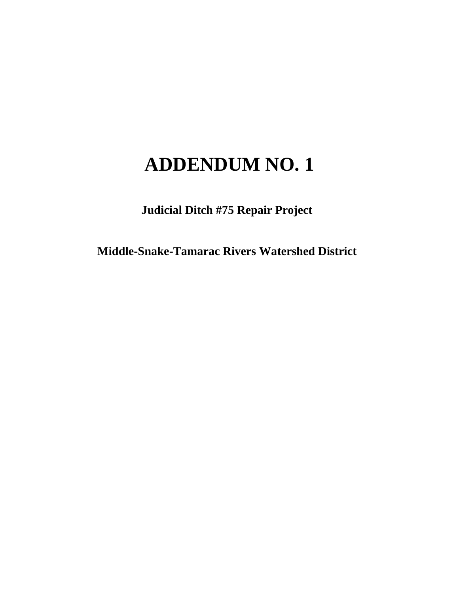### **ADDENDUM NO. 1**

**Judicial Ditch #75 Repair Project**

**Middle-Snake-Tamarac Rivers Watershed District**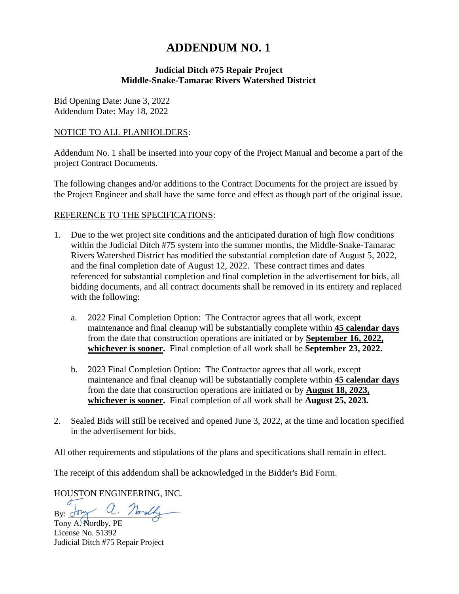### **ADDENDUM NO. 1**

#### **Judicial Ditch #75 Repair Project Middle-Snake-Tamarac Rivers Watershed District**

Bid Opening Date: June 3, 2022 Addendum Date: May 18, 2022

#### NOTICE TO ALL PLANHOLDERS:

Addendum No. 1 shall be inserted into your copy of the Project Manual and become a part of the project Contract Documents.

The following changes and/or additions to the Contract Documents for the project are issued by the Project Engineer and shall have the same force and effect as though part of the original issue.

#### REFERENCE TO THE SPECIFICATIONS:

- 1. Due to the wet project site conditions and the anticipated duration of high flow conditions within the Judicial Ditch #75 system into the summer months, the Middle-Snake-Tamarac Rivers Watershed District has modified the substantial completion date of August 5, 2022, and the final completion date of August 12, 2022. These contract times and dates referenced for substantial completion and final completion in the advertisement for bids, all bidding documents, and all contract documents shall be removed in its entirety and replaced with the following:
	- a. 2022 Final Completion Option: The Contractor agrees that all work, except maintenance and final cleanup will be substantially complete within **45 calendar days** from the date that construction operations are initiated or by **September 16, 2022, whichever is sooner.** Final completion of all work shall be **September 23, 2022.**
	- b. 2023 Final Completion Option: The Contractor agrees that all work, except maintenance and final cleanup will be substantially complete within **45 calendar days** from the date that construction operations are initiated or by **August 18, 2023, whichever is sooner.** Final completion of all work shall be **August 25, 2023.**
- 2. Sealed Bids will still be received and opened June 3, 2022, at the time and location specified in the advertisement for bids.

All other requirements and stipulations of the plans and specifications shall remain in effect.

The receipt of this addendum shall be acknowledged in the Bidder's Bid Form.

HOUSTON ENGINEERING, INC.

By: Jony a. Norsly

Tony A. Nordby, PE License No. 51392 Judicial Ditch #75 Repair Project